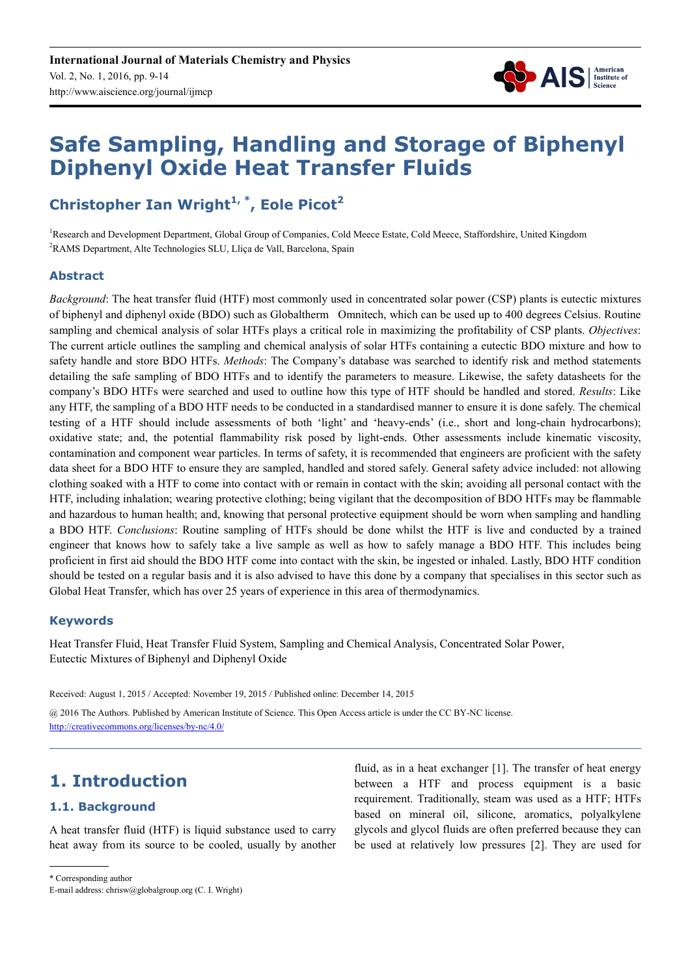

# **Safe Sampling, Handling and Storage of Biphenyl Diphenyl Oxide Heat Transfer Fluids**

# **Christopher Ian Wright1, \*, Eole Picot<sup>2</sup>**

<sup>1</sup>Research and Development Department, Global Group of Companies, Cold Meece Estate, Cold Meece, Staffordshire, United Kingdom <sup>2</sup>RAMS Department, Alte Technologies SLU, Lliça de Vall, Barcelona, Spain

#### **Abstract**

*Background*: The heat transfer fluid (HTF) most commonly used in concentrated solar power (CSP) plants is eutectic mixtures of biphenyl and diphenyl oxide (BDO) such as Globaltherm<sup>®</sup> Omnitech, which can be used up to 400 degrees Celsius. Routine sampling and chemical analysis of solar HTFs plays a critical role in maximizing the profitability of CSP plants. *Objectives*: The current article outlines the sampling and chemical analysis of solar HTFs containing a eutectic BDO mixture and how to safety handle and store BDO HTFs. *Methods*: The Company's database was searched to identify risk and method statements detailing the safe sampling of BDO HTFs and to identify the parameters to measure. Likewise, the safety datasheets for the company's BDO HTFs were searched and used to outline how this type of HTF should be handled and stored. *Results*: Like any HTF, the sampling of a BDO HTF needs to be conducted in a standardised manner to ensure it is done safely. The chemical testing of a HTF should include assessments of both 'light' and 'heavy-ends' (i.e., short and long-chain hydrocarbons); oxidative state; and, the potential flammability risk posed by light-ends. Other assessments include kinematic viscosity, contamination and component wear particles. In terms of safety, it is recommended that engineers are proficient with the safety data sheet for a BDO HTF to ensure they are sampled, handled and stored safely. General safety advice included: not allowing clothing soaked with a HTF to come into contact with or remain in contact with the skin; avoiding all personal contact with the HTF, including inhalation; wearing protective clothing; being vigilant that the decomposition of BDO HTFs may be flammable and hazardous to human health; and, knowing that personal protective equipment should be worn when sampling and handling a BDO HTF. *Conclusions*: Routine sampling of HTFs should be done whilst the HTF is live and conducted by a trained engineer that knows how to safely take a live sample as well as how to safely manage a BDO HTF. This includes being proficient in first aid should the BDO HTF come into contact with the skin, be ingested or inhaled. Lastly, BDO HTF condition should be tested on a regular basis and it is also advised to have this done by a company that specialises in this sector such as Global Heat Transfer, which has over 25 years of experience in this area of thermodynamics.

#### **Keywords**

Heat Transfer Fluid, Heat Transfer Fluid System, Sampling and Chemical Analysis, Concentrated Solar Power, Eutectic Mixtures of Biphenyl and Diphenyl Oxide

Received: August 1, 2015 / Accepted: November 19, 2015 / Published online: December 14, 2015

@ 2016 The Authors. Published by American Institute of Science. This Open Access article is under the CC BY-NC license. http://creativecommons.org/licenses/by-nc/4.0/

# **1. Introduction**

#### **1.1. Background**

A heat transfer fluid (HTF) is liquid substance used to carry heat away from its source to be cooled, usually by another fluid, as in a heat exchanger [1]. The transfer of heat energy between a HTF and process equipment is a basic requirement. Traditionally, steam was used as a HTF; HTFs based on mineral oil, silicone, aromatics, polyalkylene glycols and glycol fluids are often preferred because they can be used at relatively low pressures [2]. They are used for

\* Corresponding author

E-mail address: chrisw@globalgroup.org (C. I. Wright)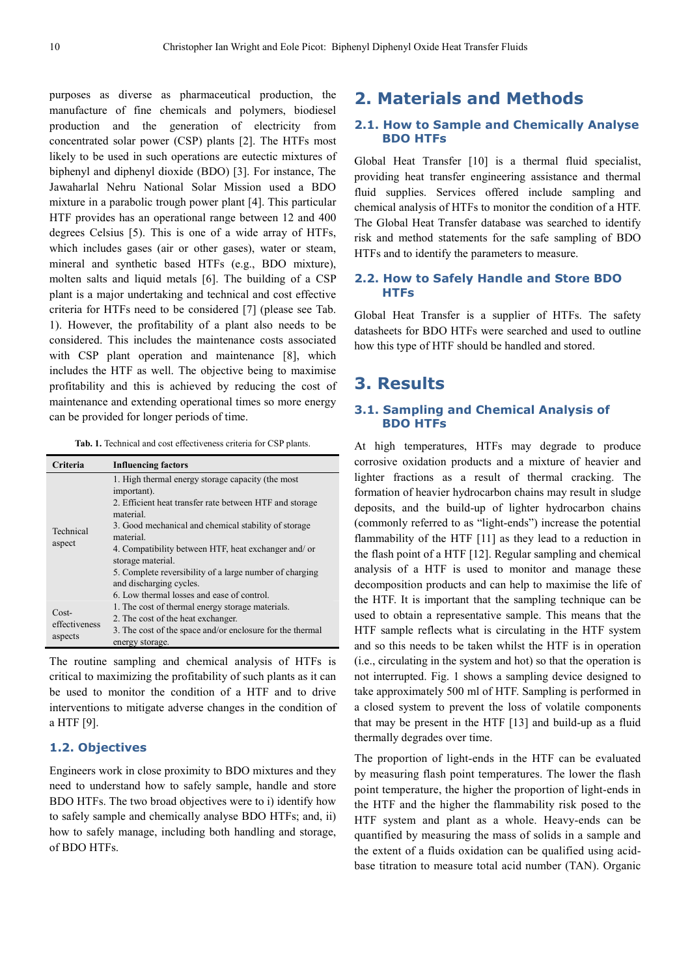purposes as diverse as pharmaceutical production, the manufacture of fine chemicals and polymers, biodiesel production and the generation of electricity from concentrated solar power (CSP) plants [2]. The HTFs most likely to be used in such operations are eutectic mixtures of biphenyl and diphenyl dioxide (BDO) [3]. For instance, The Jawaharlal Nehru National Solar Mission used a BDO mixture in a parabolic trough power plant [4]. This particular HTF provides has an operational range between 12 and 400 degrees Celsius [5). This is one of a wide array of HTFs, which includes gases (air or other gases), water or steam, mineral and synthetic based HTFs (e.g., BDO mixture), molten salts and liquid metals [6]. The building of a CSP plant is a major undertaking and technical and cost effective criteria for HTFs need to be considered [7] (please see Tab. 1). However, the profitability of a plant also needs to be considered. This includes the maintenance costs associated with CSP plant operation and maintenance [8], which includes the HTF as well. The objective being to maximise profitability and this is achieved by reducing the cost of maintenance and extending operational times so more energy can be provided for longer periods of time.

**Tab. 1.** Technical and cost effectiveness criteria for CSP plants.

| Criteria                            | <b>Influencing factors</b>                                                                                                                                                                                                                                                                                                                                                                                                    |
|-------------------------------------|-------------------------------------------------------------------------------------------------------------------------------------------------------------------------------------------------------------------------------------------------------------------------------------------------------------------------------------------------------------------------------------------------------------------------------|
| Technical<br>aspect                 | 1. High thermal energy storage capacity (the most<br>important).<br>2. Efficient heat transfer rate between HTF and storage<br>material.<br>3. Good mechanical and chemical stability of storage<br>material.<br>4. Compatibility between HTF, heat exchanger and/or<br>storage material.<br>5. Complete reversibility of a large number of charging<br>and discharging cycles.<br>6. Low thermal losses and ease of control. |
| $Cost-$<br>effectiveness<br>aspects | 1. The cost of thermal energy storage materials.<br>2. The cost of the heat exchanger.<br>3. The cost of the space and/or enclosure for the thermal<br>energy storage.                                                                                                                                                                                                                                                        |

The routine sampling and chemical analysis of HTFs is critical to maximizing the profitability of such plants as it can be used to monitor the condition of a HTF and to drive interventions to mitigate adverse changes in the condition of a HTF [9].

#### **1.2. Objectives**

Engineers work in close proximity to BDO mixtures and they need to understand how to safely sample, handle and store BDO HTFs. The two broad objectives were to i) identify how to safely sample and chemically analyse BDO HTFs; and, ii) how to safely manage, including both handling and storage, of BDO HTFs.

# **2. Materials and Methods**

#### **2.1. How to Sample and Chemically Analyse BDO HTFs**

Global Heat Transfer [10] is a thermal fluid specialist, providing heat transfer engineering assistance and thermal fluid supplies. Services offered include sampling and chemical analysis of HTFs to monitor the condition of a HTF. The Global Heat Transfer database was searched to identify risk and method statements for the safe sampling of BDO HTFs and to identify the parameters to measure.

#### **2.2. How to Safely Handle and Store BDO HTFs**

Global Heat Transfer is a supplier of HTFs. The safety datasheets for BDO HTFs were searched and used to outline how this type of HTF should be handled and stored.

### **3. Results**

#### **3.1. Sampling and Chemical Analysis of BDO HTFs**

At high temperatures, HTFs may degrade to produce corrosive oxidation products and a mixture of heavier and lighter fractions as a result of thermal cracking. The formation of heavier hydrocarbon chains may result in sludge deposits, and the build-up of lighter hydrocarbon chains (commonly referred to as "light-ends") increase the potential flammability of the HTF [11] as they lead to a reduction in the flash point of a HTF [12]. Regular sampling and chemical analysis of a HTF is used to monitor and manage these decomposition products and can help to maximise the life of the HTF. It is important that the sampling technique can be used to obtain a representative sample. This means that the HTF sample reflects what is circulating in the HTF system and so this needs to be taken whilst the HTF is in operation (i.e., circulating in the system and hot) so that the operation is not interrupted. Fig. 1 shows a sampling device designed to take approximately 500 ml of HTF. Sampling is performed in a closed system to prevent the loss of volatile components that may be present in the HTF [13] and build-up as a fluid thermally degrades over time.

The proportion of light-ends in the HTF can be evaluated by measuring flash point temperatures. The lower the flash point temperature, the higher the proportion of light-ends in the HTF and the higher the flammability risk posed to the HTF system and plant as a whole. Heavy-ends can be quantified by measuring the mass of solids in a sample and the extent of a fluids oxidation can be qualified using acidbase titration to measure total acid number (TAN). Organic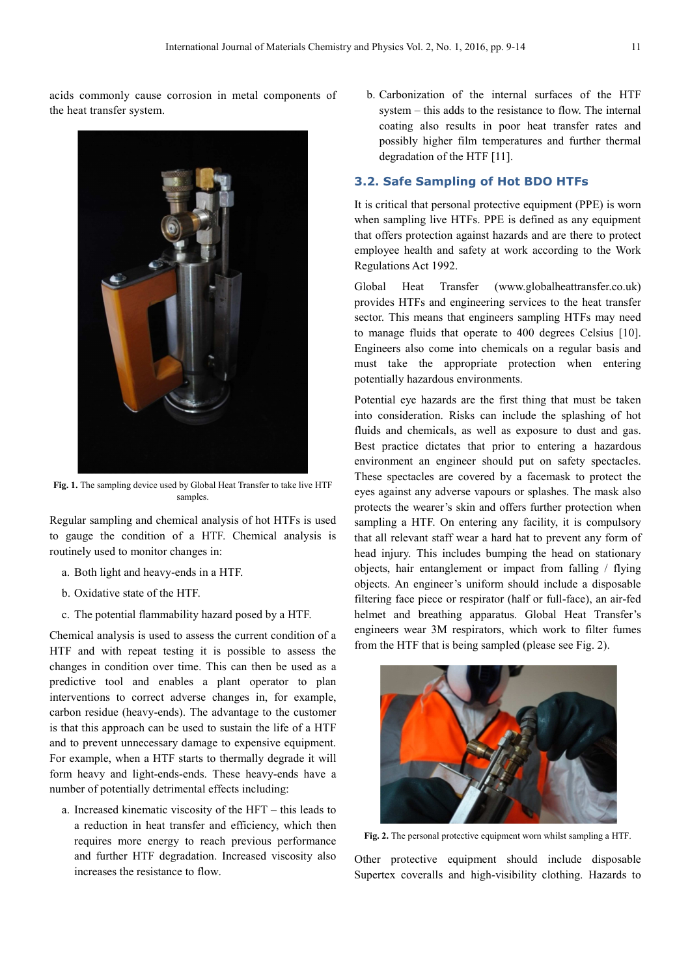acids commonly cause corrosion in metal components of the heat transfer system.



Fig. 1. The sampling device used by Global Heat Transfer to take live HTF samples.

Regular sampling and chemical analysis of hot HTFs is used to gauge the condition of a HTF. Chemical analysis is routinely used to monitor changes in:

- a. Both light and heavy-ends in a HTF.
- b. Oxidative state of the HTF.
- c. The potential flammability hazard posed by a HTF.

Chemical analysis is used to assess the current condition of a HTF and with repeat testing it is possible to assess the changes in condition over time. This can then be used as a predictive tool and enables a plant operator to plan interventions to correct adverse changes in, for example, carbon residue (heavy-ends). The advantage to the customer is that this approach can be used to sustain the life of a HTF and to prevent unnecessary damage to expensive equipment. For example, when a HTF starts to thermally degrade it will form heavy and light-ends-ends. These heavy-ends have a number of potentially detrimental effects including:

a. Increased kinematic viscosity of the HFT – this leads to a reduction in heat transfer and efficiency, which then requires more energy to reach previous performance and further HTF degradation. Increased viscosity also increases the resistance to flow.

b. Carbonization of the internal surfaces of the HTF system – this adds to the resistance to flow. The internal coating also results in poor heat transfer rates and possibly higher film temperatures and further thermal degradation of the HTF [11].

#### **3.2. Safe Sampling of Hot BDO HTFs**

It is critical that personal protective equipment (PPE) is worn when sampling live HTFs. PPE is defined as any equipment that offers protection against hazards and are there to protect employee health and safety at work according to the Work Regulations Act 1992.

Global Heat Transfer (www.globalheattransfer.co.uk) provides HTFs and engineering services to the heat transfer sector. This means that engineers sampling HTFs may need to manage fluids that operate to 400 degrees Celsius [10]. Engineers also come into chemicals on a regular basis and must take the appropriate protection when entering potentially hazardous environments.

Potential eye hazards are the first thing that must be taken into consideration. Risks can include the splashing of hot fluids and chemicals, as well as exposure to dust and gas. Best practice dictates that prior to entering a hazardous environment an engineer should put on safety spectacles. These spectacles are covered by a facemask to protect the eyes against any adverse vapours or splashes. The mask also protects the wearer's skin and offers further protection when sampling a HTF. On entering any facility, it is compulsory that all relevant staff wear a hard hat to prevent any form of head injury. This includes bumping the head on stationary objects, hair entanglement or impact from falling / flying objects. An engineer's uniform should include a disposable filtering face piece or respirator (half or full-face), an air-fed helmet and breathing apparatus. Global Heat Transfer's engineers wear 3M respirators, which work to filter fumes from the HTF that is being sampled (please see Fig. 2).



**Fig. 2.** The personal protective equipment worn whilst sampling a HTF.

Other protective equipment should include disposable Supertex coveralls and high-visibility clothing. Hazards to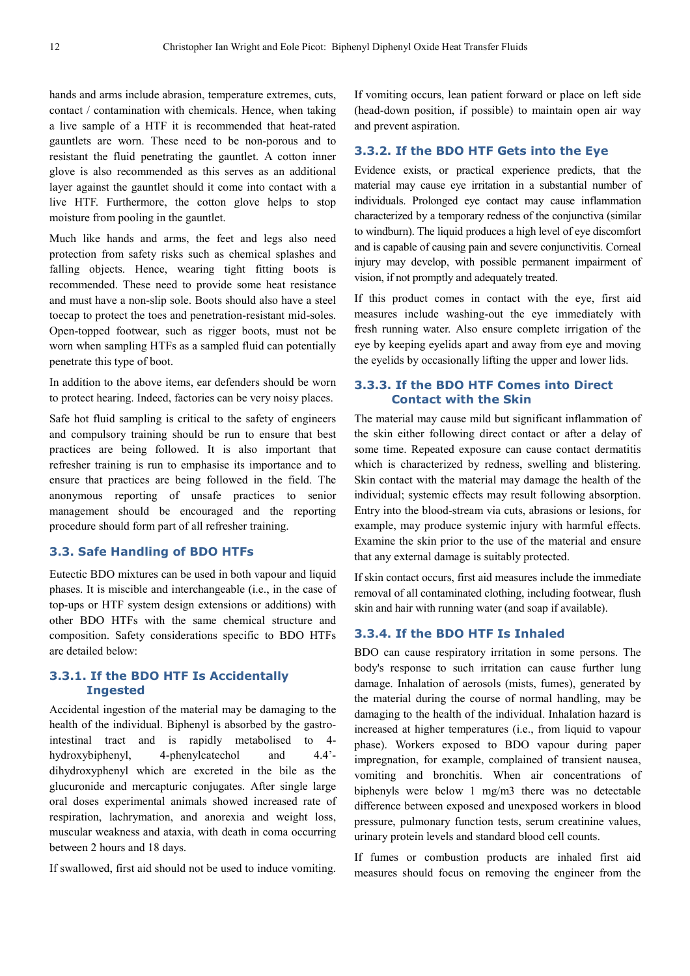hands and arms include abrasion, temperature extremes, cuts, contact / contamination with chemicals. Hence, when taking a live sample of a HTF it is recommended that heat-rated gauntlets are worn. These need to be non-porous and to resistant the fluid penetrating the gauntlet. A cotton inner glove is also recommended as this serves as an additional layer against the gauntlet should it come into contact with a live HTF. Furthermore, the cotton glove helps to stop moisture from pooling in the gauntlet.

Much like hands and arms, the feet and legs also need protection from safety risks such as chemical splashes and falling objects. Hence, wearing tight fitting boots is recommended. These need to provide some heat resistance and must have a non-slip sole. Boots should also have a steel toecap to protect the toes and penetration-resistant mid-soles. Open-topped footwear, such as rigger boots, must not be worn when sampling HTFs as a sampled fluid can potentially penetrate this type of boot.

In addition to the above items, ear defenders should be worn to protect hearing. Indeed, factories can be very noisy places.

Safe hot fluid sampling is critical to the safety of engineers and compulsory training should be run to ensure that best practices are being followed. It is also important that refresher training is run to emphasise its importance and to ensure that practices are being followed in the field. The anonymous reporting of unsafe practices to senior management should be encouraged and the reporting procedure should form part of all refresher training.

#### **3.3. Safe Handling of BDO HTFs**

Eutectic BDO mixtures can be used in both vapour and liquid phases. It is miscible and interchangeable (i.e., in the case of top-ups or HTF system design extensions or additions) with other BDO HTFs with the same chemical structure and composition. Safety considerations specific to BDO HTFs are detailed below:

#### **3.3.1. If the BDO HTF Is Accidentally Ingested**

Accidental ingestion of the material may be damaging to the health of the individual. Biphenyl is absorbed by the gastrointestinal tract and is rapidly metabolised to 4 hydroxybiphenyl, 4-phenylcatechol and 4.4' dihydroxyphenyl which are excreted in the bile as the glucuronide and mercapturic conjugates. After single large oral doses experimental animals showed increased rate of respiration, lachrymation, and anorexia and weight loss, muscular weakness and ataxia, with death in coma occurring between 2 hours and 18 days.

If swallowed, first aid should not be used to induce vomiting.

If vomiting occurs, lean patient forward or place on left side (head-down position, if possible) to maintain open air way and prevent aspiration.

#### **3.3.2. If the BDO HTF Gets into the Eye**

Evidence exists, or practical experience predicts, that the material may cause eye irritation in a substantial number of individuals. Prolonged eye contact may cause inflammation characterized by a temporary redness of the conjunctiva (similar to windburn). The liquid produces a high level of eye discomfort and is capable of causing pain and severe conjunctivitis. Corneal injury may develop, with possible permanent impairment of vision, if not promptly and adequately treated.

If this product comes in contact with the eye, first aid measures include washing-out the eye immediately with fresh running water. Also ensure complete irrigation of the eye by keeping eyelids apart and away from eye and moving the eyelids by occasionally lifting the upper and lower lids.

#### **3.3.3. If the BDO HTF Comes into Direct Contact with the Skin**

The material may cause mild but significant inflammation of the skin either following direct contact or after a delay of some time. Repeated exposure can cause contact dermatitis which is characterized by redness, swelling and blistering. Skin contact with the material may damage the health of the individual; systemic effects may result following absorption. Entry into the blood-stream via cuts, abrasions or lesions, for example, may produce systemic injury with harmful effects. Examine the skin prior to the use of the material and ensure that any external damage is suitably protected.

If skin contact occurs, first aid measures include the immediate removal of all contaminated clothing, including footwear, flush skin and hair with running water (and soap if available).

#### **3.3.4. If the BDO HTF Is Inhaled**

BDO can cause respiratory irritation in some persons. The body's response to such irritation can cause further lung damage. Inhalation of aerosols (mists, fumes), generated by the material during the course of normal handling, may be damaging to the health of the individual. Inhalation hazard is increased at higher temperatures (i.e., from liquid to vapour phase). Workers exposed to BDO vapour during paper impregnation, for example, complained of transient nausea, vomiting and bronchitis. When air concentrations of biphenyls were below 1 mg/m3 there was no detectable difference between exposed and unexposed workers in blood pressure, pulmonary function tests, serum creatinine values, urinary protein levels and standard blood cell counts.

If fumes or combustion products are inhaled first aid measures should focus on removing the engineer from the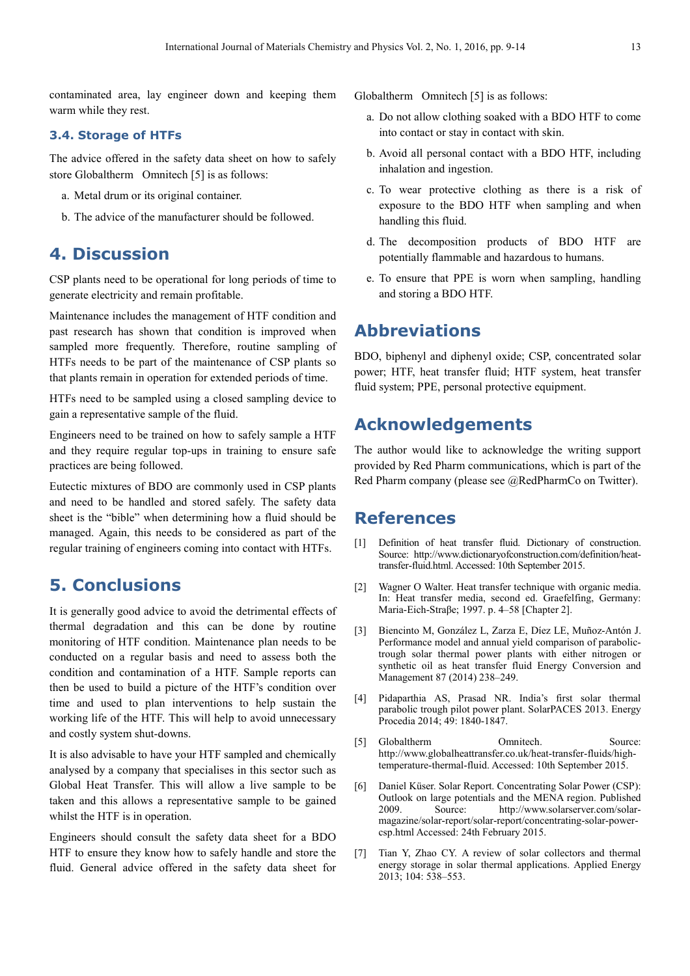contaminated area, lay engineer down and keeping them warm while they rest.

#### **3.4. Storage of HTFs**

The advice offered in the safety data sheet on how to safely store Globaltherm<sup>®</sup> Omnitech [5] is as follows:

- a. Metal drum or its original container.
- b. The advice of the manufacturer should be followed.

# **4. Discussion**

CSP plants need to be operational for long periods of time to generate electricity and remain profitable.

Maintenance includes the management of HTF condition and past research has shown that condition is improved when sampled more frequently. Therefore, routine sampling of HTFs needs to be part of the maintenance of CSP plants so that plants remain in operation for extended periods of time.

HTFs need to be sampled using a closed sampling device to gain a representative sample of the fluid.

Engineers need to be trained on how to safely sample a HTF and they require regular top-ups in training to ensure safe practices are being followed.

Eutectic mixtures of BDO are commonly used in CSP plants and need to be handled and stored safely. The safety data sheet is the "bible" when determining how a fluid should be managed. Again, this needs to be considered as part of the regular training of engineers coming into contact with HTFs.

# **5. Conclusions**

It is generally good advice to avoid the detrimental effects of thermal degradation and this can be done by routine monitoring of HTF condition. Maintenance plan needs to be conducted on a regular basis and need to assess both the condition and contamination of a HTF. Sample reports can then be used to build a picture of the HTF's condition over time and used to plan interventions to help sustain the working life of the HTF. This will help to avoid unnecessary and costly system shut-downs.

It is also advisable to have your HTF sampled and chemically analysed by a company that specialises in this sector such as Global Heat Transfer. This will allow a live sample to be taken and this allows a representative sample to be gained whilst the HTF is in operation.

Engineers should consult the safety data sheet for a BDO HTF to ensure they know how to safely handle and store the fluid. General advice offered in the safety data sheet for Globaltherm<sup>®</sup> Omnitech [5] is as follows:

- a. Do not allow clothing soaked with a BDO HTF to come into contact or stay in contact with skin.
- b. Avoid all personal contact with a BDO HTF, including inhalation and ingestion.
- c. To wear protective clothing as there is a risk of exposure to the BDO HTF when sampling and when handling this fluid.
- d. The decomposition products of BDO HTF are potentially flammable and hazardous to humans.
- e. To ensure that PPE is worn when sampling, handling and storing a BDO HTF.

# **Abbreviations**

BDO, biphenyl and diphenyl oxide; CSP, concentrated solar power; HTF, heat transfer fluid; HTF system, heat transfer fluid system; PPE, personal protective equipment.

# **Acknowledgements**

The author would like to acknowledge the writing support provided by Red Pharm communications, which is part of the Red Pharm company (please see @RedPharmCo on Twitter).

### **References**

- [1] Definition of heat transfer fluid. Dictionary of construction. Source: http://www.dictionaryofconstruction.com/definition/heattransfer-fluid.html. Accessed: 10th September 2015.
- [2] Wagner O Walter. Heat transfer technique with organic media. In: Heat transfer media, second ed. Graefelfing, Germany: Maria-Eich-Straβe; 1997. p. 4–58 [Chapter 2].
- [3] Biencinto M, González L, Zarza E, Díez LE, Muñoz-Antón J. Performance model and annual yield comparison of parabolictrough solar thermal power plants with either nitrogen or synthetic oil as heat transfer fluid Energy Conversion and Management 87 (2014) 238–249.
- [4] Pidaparthia AS, Prasad NR. India's first solar thermal parabolic trough pilot power plant. SolarPACES 2013. Energy Procedia 2014; 49: 1840-1847.
- [5] Globaltherm Omnitech. Source: http://www.globalheattransfer.co.uk/heat-transfer-fluids/hightemperature-thermal-fluid. Accessed: 10th September 2015.
- [6] Daniel Küser. Solar Report. Concentrating Solar Power (CSP): Outlook on large potentials and the MENA region. Published 2009. Source: http://www.solarserver.com/solarmagazine/solar-report/solar-report/concentrating-solar-powercsp.html Accessed: 24th February 2015.
- [7] Tian Y, Zhao CY. A review of solar collectors and thermal energy storage in solar thermal applications. Applied Energy 2013; 104: 538–553.